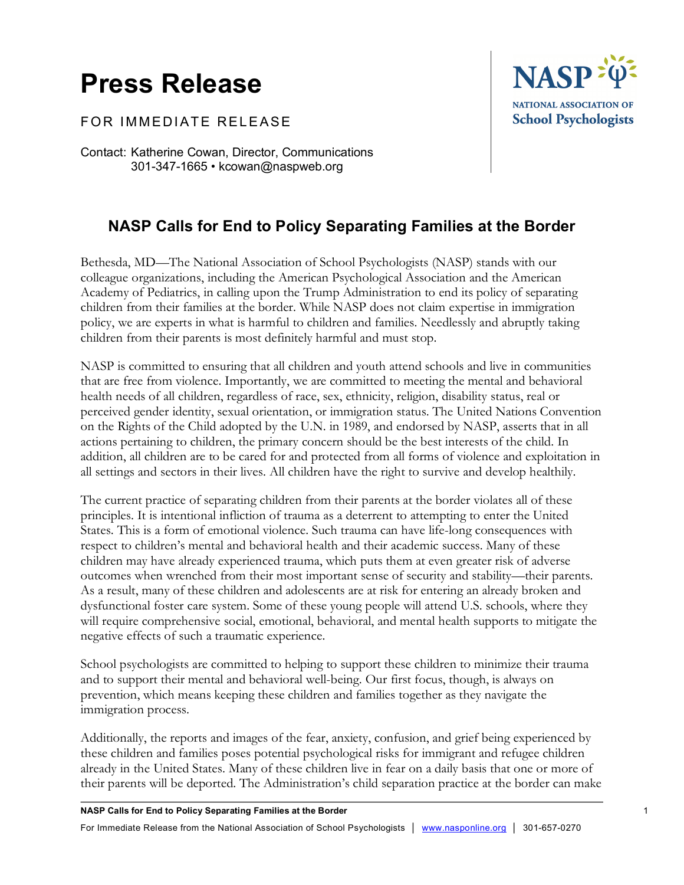## **Press Release**

FOR IMMEDIATE RELEASE

Contact: Katherine Cowan, Director, Communications 301-347-1665 • kcowan@naspweb.org

## **NASP Calls for End to Policy Separating Families at the Border**

Bethesda, MD—The National Association of School Psychologists (NASP) stands with our colleague organizations, including the American Psychological Association and the American Academy of Pediatrics, in calling upon the Trump Administration to end its policy of separating children from their families at the border. While NASP does not claim expertise in immigration policy, we are experts in what is harmful to children and families. Needlessly and abruptly taking children from their parents is most definitely harmful and must stop.

NASP is committed to ensuring that all children and youth attend schools and live in communities that are free from violence. Importantly, we are committed to meeting the mental and behavioral health needs of all children, regardless of race, sex, ethnicity, religion, disability status, real or perceived gender identity, sexual orientation, or immigration status. The United Nations Convention on the Rights of the Child adopted by the U.N. in 1989, and endorsed by NASP, asserts that in all actions pertaining to children, the primary concern should be the best interests of the child. In addition, all children are to be cared for and protected from all forms of violence and exploitation in all settings and sectors in their lives. All children have the right to survive and develop healthily.

The current practice of separating children from their parents at the border violates all of these principles. It is intentional infliction of trauma as a deterrent to attempting to enter the United States. This is a form of emotional violence. Such trauma can have life-long consequences with respect to children's mental and behavioral health and their academic success. Many of these children may have already experienced trauma, which puts them at even greater risk of adverse outcomes when wrenched from their most important sense of security and stability—their parents. As a result, many of these children and adolescents are at risk for entering an already broken and dysfunctional foster care system. Some of these young people will attend U.S. schools, where they will require comprehensive social, emotional, behavioral, and mental health supports to mitigate the negative effects of such a traumatic experience.

School psychologists are committed to helping to support these children to minimize their trauma and to support their mental and behavioral well-being. Our first focus, though, is always on prevention, which means keeping these children and families together as they navigate the immigration process.

Additionally, the reports and images of the fear, anxiety, confusion, and grief being experienced by these children and families poses potential psychological risks for immigrant and refugee children already in the United States. Many of these children live in fear on a daily basis that one or more of their parents will be deported. The Administration's child separation practice at the border can make

NASP<sup>:</sup>

NATIONAL ASSOCIATION OF **School Psychologists**